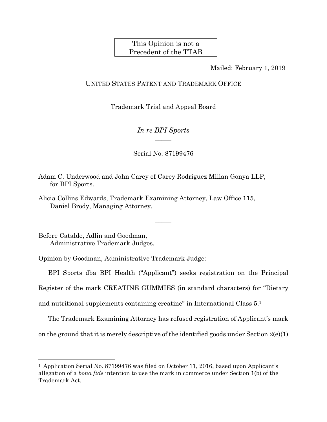## This Opinion is not a Precedent of the TTAB

Mailed: February 1, 2019

## UNITED STATES PATENT AND TRADEMARK OFFICE  $\overline{\phantom{a}}$

Trademark Trial and Appeal Board  $\overline{\phantom{a}}$ 

> *In re BPI Sports*   $\overline{\phantom{a}}$

Serial No. 87199476  $\overline{\phantom{a}}$ 

Adam C. Underwood and John Carey of Carey Rodriguez Milian Gonya LLP, for BPI Sports.

Alicia Collins Edwards, Trademark Examining Attorney, Law Office 115, Daniel Brody, Managing Attorney.

Before Cataldo, Adlin and Goodman, Administrative Trademark Judges.

l

Opinion by Goodman, Administrative Trademark Judge:

BPI Sports dba BPI Health ("Applicant") seeks registration on the Principal

 $\overline{\phantom{a}}$ 

Register of the mark CREATINE GUMMIES (in standard characters) for "Dietary

and nutritional supplements containing creatine" in International Class 5.1

The Trademark Examining Attorney has refused registration of Applicant's mark

on the ground that it is merely descriptive of the identified goods under Section  $2(e)(1)$ 

<sup>&</sup>lt;sup>1</sup> Application Serial No. 87199476 was filed on October 11, 2016, based upon Applicant's allegation of a *bona fide* intention to use the mark in commerce under Section 1(b) of the Trademark Act.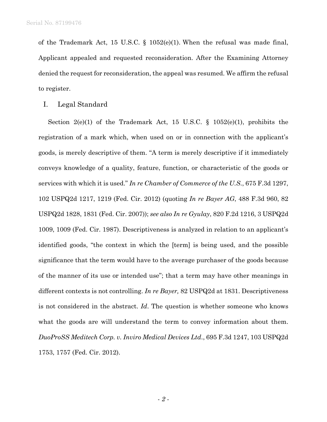of the Trademark Act, 15 U.S.C. § 1052(e)(1). When the refusal was made final, Applicant appealed and requested reconsideration. After the Examining Attorney denied the request for reconsideration, the appeal was resumed. We affirm the refusal to register.

I. Legal Standard

Section 2(e)(1) of the Trademark Act, 15 U.S.C.  $\S$  1052(e)(1), prohibits the registration of a mark which, when used on or in connection with the applicant's goods, is merely descriptive of them. "A term is merely descriptive if it immediately conveys knowledge of a quality, feature, function, or characteristic of the goods or services with which it is used." *In re Chamber of Commerce of the U.S*., 675 F.3d 1297, 102 USPQ2d 1217, 1219 (Fed. Cir. 2012) (quoting *In re Bayer AG*, 488 F.3d 960, 82 USPQ2d 1828, 1831 (Fed. Cir. 2007)); *see also In re Gyulay*, 820 F.2d 1216, 3 USPQ2d 1009, 1009 (Fed. Cir. 1987). Descriptiveness is analyzed in relation to an applicant's identified goods, "the context in which the [term] is being used, and the possible significance that the term would have to the average purchaser of the goods because of the manner of its use or intended use"; that a term may have other meanings in different contexts is not controlling. *In re Bayer,* 82 USPQ2d at 1831. Descriptiveness is not considered in the abstract. *Id*. The question is whether someone who knows what the goods are will understand the term to convey information about them. *DuoProSS Meditech Corp. v. Inviro Medical Devices Ltd*., 695 F.3d 1247, 103 USPQ2d 1753, 1757 (Fed. Cir. 2012).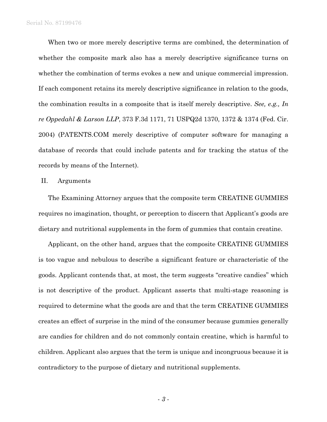When two or more merely descriptive terms are combined, the determination of whether the composite mark also has a merely descriptive significance turns on whether the combination of terms evokes a new and unique commercial impression. If each component retains its merely descriptive significance in relation to the goods, the combination results in a composite that is itself merely descriptive. *See, e.g., In re Oppedahl & Larson LLP*, 373 F.3d 1171, 71 USPQ2d 1370, 1372 & 1374 (Fed. Cir. 2004) (PATENTS.COM merely descriptive of computer software for managing a database of records that could include patents and for tracking the status of the records by means of the Internet).

## II. Arguments

The Examining Attorney argues that the composite term CREATINE GUMMIES requires no imagination, thought, or perception to discern that Applicant's goods are dietary and nutritional supplements in the form of gummies that contain creatine.

Applicant, on the other hand, argues that the composite CREATINE GUMMIES is too vague and nebulous to describe a significant feature or characteristic of the goods. Applicant contends that, at most, the term suggests "creative candies" which is not descriptive of the product. Applicant asserts that multi-stage reasoning is required to determine what the goods are and that the term CREATINE GUMMIES creates an effect of surprise in the mind of the consumer because gummies generally are candies for children and do not commonly contain creatine, which is harmful to children. Applicant also argues that the term is unique and incongruous because it is contradictory to the purpose of dietary and nutritional supplements.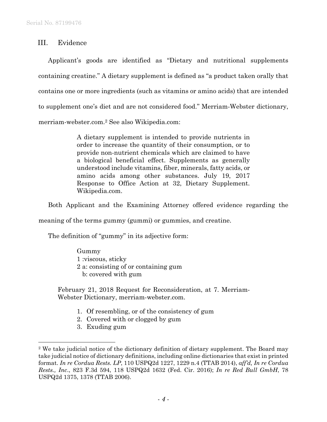III. Evidence

Applicant's goods are identified as "Dietary and nutritional supplements containing creatine." A dietary supplement is defined as "a product taken orally that contains one or more ingredients (such as vitamins or amino acids) that are intended to supplement one's diet and are not considered food." Merriam-Webster dictionary, merriam-webster.com.2 See also Wikipedia.com:

> A dietary supplement is intended to provide nutrients in order to increase the quantity of their consumption, or to provide non-nutrient chemicals which are claimed to have a biological beneficial effect. Supplements as generally understood include vitamins, fiber, minerals, fatty acids, or amino acids among other substances. July 19, 2017 Response to Office Action at 32, Dietary Supplement. Wikipedia.com.

Both Applicant and the Examining Attorney offered evidence regarding the

meaning of the terms gummy (gummi) or gummies, and creatine.

The definition of "gummy" in its adjective form:

Gummy 1 :viscous, sticky 2 a: consisting of or containing gum b: covered with gum

February 21, 2018 Request for Reconsideration, at 7. Merriam-Webster Dictionary, merriam-webster.com.

- 1. Of resembling, or of the consistency of gum
- 2. Covered with or clogged by gum
- 3. Exuding gum

 $\overline{a}$ 

<sup>2</sup> We take judicial notice of the dictionary definition of dietary supplement. The Board may take judicial notice of dictionary definitions, including online dictionaries that exist in printed format. *In re Cordua Rests. LP*, 110 USPQ2d 1227, 1229 n.4 (TTAB 2014), *aff'd, In re Cordua Rests., Inc*., 823 F.3d 594, 118 USPQ2d 1632 (Fed. Cir. 2016); *In re Red Bull GmbH*, 78 USPQ2d 1375, 1378 (TTAB 2006).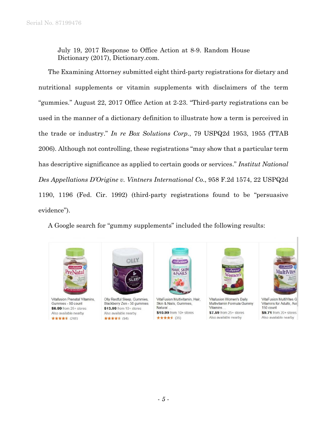July 19, 2017 Response to Office Action at 8-9. Random House Dictionary (2017), Dictionary.com.

The Examining Attorney submitted eight third-party registrations for dietary and nutritional supplements or vitamin supplements with disclaimers of the term "gummies." August 22, 2017 Office Action at 2-23. "Third-party registrations can be used in the manner of a dictionary definition to illustrate how a term is perceived in the trade or industry." *In re Box Solutions Corp*., 79 USPQ2d 1953, 1955 (TTAB 2006). Although not controlling, these registrations "may show that a particular term has descriptive significance as applied to certain goods or services." *Institut National Des Appellations D'Origine v. Vintners International Co*., 958 F.2d 1574, 22 USPQ2d 1190, 1196 (Fed. Cir. 1992) (third-party registrations found to be "persuasive evidence").

A Google search for "gummy supplements" included the following results:



Vitafusion Prenatal Vitamins, Gummies - 90 count \$6.99 from 25+ stores Also available nearby ★★★★★ (248)



Olly Restful Sleep, Gummies, Blackberry Zen - 50 gummies \$13.99 from 10+ stores Also available nearby ★★★★★ (94)



VitaFusion Multivitamin, Hair, Skin & Nails, Gummies, Natural \$10.99 from 10+ stores ★★★★★ (35)



Vitafusion Women's Daily Multivitamin Formula Gummy Vitamins. \$7.59 from 25+ stores Also available nearby



VitaFusion MultiVites G Vitamins for Adults, Ass 150 count \$9.71 from 20+ stores Also available nearby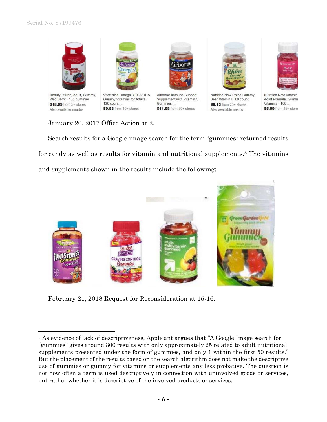l



January 20, 2017 Office Action at 2.

Search results for a Google image search for the term "gummies" returned results for candy as well as results for vitamin and nutritional supplements.3 The vitamins and supplements shown in the results include the following:



February 21, 2018 Request for Reconsideration at 15-16.

<sup>3</sup> As evidence of lack of descriptiveness, Applicant argues that "A Google Image search for "gummies" gives around 300 results with only approximately 25 related to adult nutritional supplements presented under the form of gummies, and only 1 within the first 50 results." But the placement of the results based on the search algorithm does not make the descriptive use of gummies or gummy for vitamins or supplements any less probative. The question is not how often a term is used descriptively in connection with uninvolved goods or services, but rather whether it is descriptive of the involved products or services.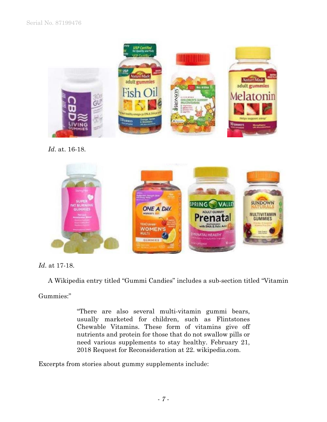

*Id*. at. 16-18.



*Id*. at 17-18.

A Wikipedia entry titled "Gummi Candies" includes a sub-section titled "Vitamin

Gummies:"

"There are also several multi-vitamin gummi bears, usually marketed for children, such as Flintstones Chewable Vitamins. These form of vitamins give off nutrients and protein for those that do not swallow pills or need various supplements to stay healthy. February 21, 2018 Request for Reconsideration at 22. wikipedia.com.

Excerpts from stories about gummy supplements include: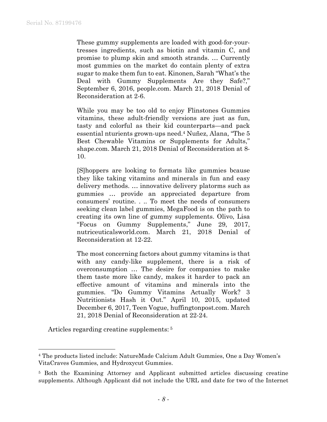These gummy supplements are loaded with good-for-yourtresses ingredients, such as biotin and vitamin C, and promise to plump skin and smooth strands. … Currently most gummies on the market do contain plenty of extra sugar to make them fun to eat. Kinonen, Sarah "What's the Deal with Gummy Supplements Are they Safe?," September 6, 2016, people.com. March 21, 2018 Denial of Reconsideration at 2-6.

While you may be too old to enjoy Flinstones Gummies vitamins, these adult-friendly versions are just as fun, tasty and colorful as their kid counterparts—and pack essential nturients grown-ups need.4 Nuñez, Alana, "The 5 Best Chewable Vitamins or Supplements for Adults," shape.com. March 21, 2018 Denial of Reconsideration at 8- 10.

[S]hoppers are looking to formats like gummies bcause they like taking vitamins and minerals in fun and easy delivery methods. … innovative delivery platorms such as gummies … provide an appreciated departure from consumers' routine. . .. To meet the needs of consumers seeking clean label gummies, MegaFood is on the path to creating its own line of gummy supplements. Olivo, Lisa "Focus on Gummy Supplements," June 29, 2017, nutriceuticalsworld.com. March 21, 2018 Denial of Reconsideration at 12-22.

The most concerning factors about gummy vitamins is that with any candy-like supplement, there is a risk of overconsumption … The desire for companies to make them taste more like candy, makes it harder to pack an effective amount of vitamins and minerals into the gummies. "Do Gummy Vitamins Actually Work? 3 Nutritionists Hash it Out." April 10, 2015, updated December 6, 2017, Teen Vogue, huffingtonpost.com. March 21, 2018 Denial of Reconsideration at 22-24.

Articles regarding creatine supplements: 5

 $\overline{a}$ 

<sup>4</sup> The products listed include: NatureMade Calcium Adult Gummies, One a Day Women's VitaCraves Gummies, and Hydroxycut Gummies.

<sup>5</sup> Both the Examining Attorney and Applicant submitted articles discussing creatine supplements. Although Applicant did not include the URL and date for two of the Internet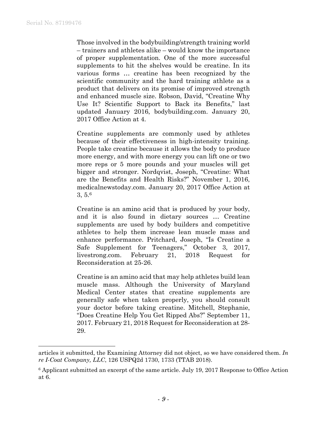1

Those involved in the bodybuilding/strength training world – trainers and athletes alike – would know the importance of proper supplementation. One of the more successful supplements to hit the shelves would be creatine. In its various forms … creatine has been recognized by the scientific community and the hard training athlete as a product that delivers on its promise of improved strength and enhanced muscle size. Robson, David, "Creatine Why Use It? Scientific Support to Back its Benefits," last updated January 2016, bodybuilding.com. January 20, 2017 Office Action at 4.

Creatine supplements are commonly used by athletes because of their effectiveness in high-intensity training. People take creatine because it allows the body to produce more energy, and with more energy you can lift one or two more reps or 5 more pounds and your muscles will get bigger and stronger. Nordqvist, Joseph, "Creatine: What are the Benefits and Health Risks?" November 1, 2016, medicalnewstoday.com. January 20, 2017 Office Action at 3, 5.6

Creatine is an amino acid that is produced by your body, and it is also found in dietary sources … Creatine supplements are used by body builders and competitive athletes to help them increase lean muscle mass and enhance performance. Pritchard, Joseph, "Is Creatine a Safe Supplement for Teenagers," October 3, 2017, livestrong.com. February 21, 2018 Request for Reconsideration at 25-26.

Creatine is an amino acid that may help athletes build lean muscle mass. Although the University of Maryland Medical Center states that creatine supplements are generally safe when taken properly, you should consult your doctor before taking creatine. Mitchell, Stephanie, "Does Creatine Help You Get Ripped Abs?" September 11, 2017. February 21, 2018 Request for Reconsideration at 28- 29.

articles it submitted, the Examining Attorney did not object, so we have considered them. *In re I-Coat Company, LLC*, 126 USPQ2d 1730, 1733 (TTAB 2018).

<sup>6</sup> Applicant submitted an excerpt of the same article. July 19, 2017 Response to Office Action at 6.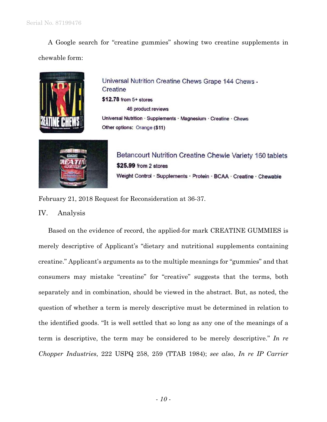A Google search for "creatine gummies" showing two creatine supplements in chewable form:



Universal Nutrition Creatine Chews Grape 144 Chews -Creatine \$12.78 from 5+ stores 46 product reviews Universal Nutrition · Supplements · Magnesium · Creatine · Chews Other options: Orange (\$11)



Betancourt Nutrition Creatine Chewie Variety 160 tablets \$25.99 from 2 stores Weight Control · Supplements · Protein · BCAA · Creatine · Chewable

February 21, 2018 Request for Reconsideration at 36-37.

IV. Analysis

Based on the evidence of record, the applied-for mark CREATINE GUMMIES is merely descriptive of Applicant's "dietary and nutritional supplements containing creatine." Applicant's arguments as to the multiple meanings for "gummies" and that consumers may mistake "creatine" for "creative" suggests that the terms, both separately and in combination, should be viewed in the abstract. But, as noted, the question of whether a term is merely descriptive must be determined in relation to the identified goods. "It is well settled that so long as any one of the meanings of a term is descriptive, the term may be considered to be merely descriptive." *In re Chopper Industries*, 222 USPQ 258, 259 (TTAB 1984); *see also*, *In re IP Carrier*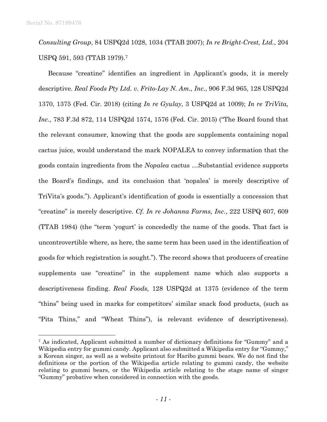$\overline{a}$ 

*Consulting Group*, 84 USPQ2d 1028, 1034 (TTAB 2007); *In re Bright-Crest, Ltd.*, 204 USPQ 591, 593 (TTAB 1979).7

Because "creatine" identifies an ingredient in Applicant's goods, it is merely descriptive. *Real Foods Pty Ltd. v. Frito-Lay N. Am., Inc*., 906 F.3d 965, 128 USPQ2d 1370, 1375 (Fed. Cir. 2018) (citing *In re Gyulay*, 3 USPQ2d at 1009); *In re TriVita, Inc.*, 783 F.3d 872, 114 USPQ2d 1574, 1576 (Fed. Cir. 2015) ("The Board found that the relevant consumer, knowing that the goods are supplements containing nopal cactus juice, would understand the mark NOPALEA to convey information that the goods contain ingredients from the *Nopalea* cactus …Substantial evidence supports the Board's findings, and its conclusion that 'nopalea' is merely descriptive of TriVita's goods."). Applicant's identification of goods is essentially a concession that "creatine" is merely descriptive. *Cf. In re Johanna Farms, Inc*., 222 USPQ 607, 609 (TTAB 1984) (the "term 'yogurt' is concededly the name of the goods. That fact is uncontrovertible where, as here, the same term has been used in the identification of goods for which registration is sought."). The record shows that producers of creatine supplements use "creatine" in the supplement name which also supports a descriptiveness finding. *Real Foods,* 128 USPQ2d at 1375 (evidence of the term "thins" being used in marks for competitors' similar snack food products, (such as "Pita Thins," and "Wheat Thins"), is relevant evidence of descriptiveness).

<sup>7</sup> As indicated, Applicant submitted a number of dictionary definitions for "Gummy" and a Wikipedia entry for gummi candy. Applicant also submitted a Wikipedia entry for "Gummy," a Korean singer, as well as a website printout for Haribo gummi bears. We do not find the definitions or the portion of the Wikipedia article relating to gummi candy, the website relating to gummi bears, or the Wikipedia article relating to the stage name of singer "Gummy" probative when considered in connection with the goods.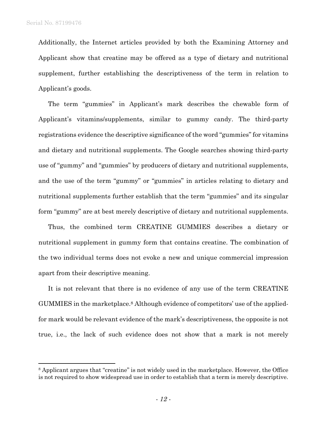$\overline{a}$ 

Additionally, the Internet articles provided by both the Examining Attorney and Applicant show that creatine may be offered as a type of dietary and nutritional supplement, further establishing the descriptiveness of the term in relation to Applicant's goods.

The term "gummies" in Applicant's mark describes the chewable form of Applicant's vitamins/supplements, similar to gummy candy. The third-party registrations evidence the descriptive significance of the word "gummies" for vitamins and dietary and nutritional supplements. The Google searches showing third-party use of "gummy" and "gummies" by producers of dietary and nutritional supplements, and the use of the term "gummy" or "gummies" in articles relating to dietary and nutritional supplements further establish that the term "gummies" and its singular form "gummy" are at best merely descriptive of dietary and nutritional supplements.

Thus, the combined term CREATINE GUMMIES describes a dietary or nutritional supplement in gummy form that contains creatine. The combination of the two individual terms does not evoke a new and unique commercial impression apart from their descriptive meaning.

It is not relevant that there is no evidence of any use of the term CREATINE GUMMIES in the marketplace.8 Although evidence of competitors' use of the appliedfor mark would be relevant evidence of the mark's descriptiveness, the opposite is not true, i.e., the lack of such evidence does not show that a mark is not merely

<sup>8</sup> Applicant argues that "creatine" is not widely used in the marketplace. However, the Office is not required to show widespread use in order to establish that a term is merely descriptive.